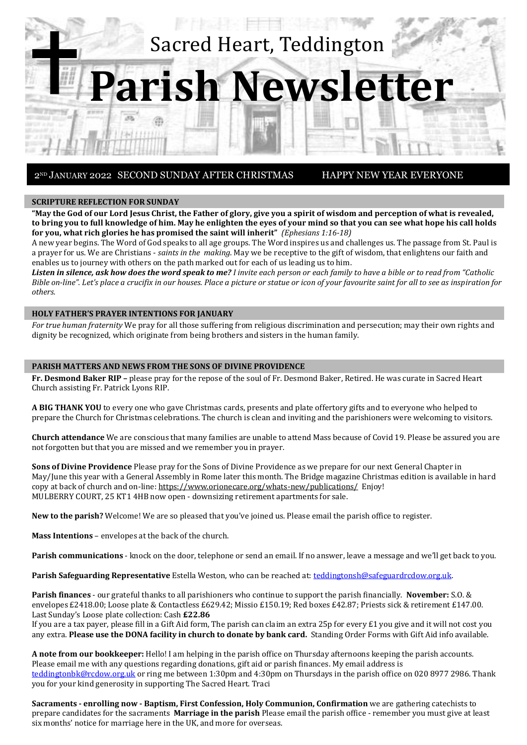

#### **SCRIPTURE REFLECTION FOR SUNDAY**

**"May the God of our Lord Jesus Christ, the Father of glory, give you a spirit of wisdom and perception of what is revealed, to bring you to full knowledge of him. May he enlighten the eyes of your mind so that you can see what hope his call holds for you, what rich glories he has promised the saint will inherit"** *(Ephesians 1:16-18)* 

A new year begins. The Word of God speaks to all age groups. The Word inspires us and challenges us. The passage from St. Paul is a prayer for us. We are Christians - *saints in the making*. May we be receptive to the gift of wisdom, that enlightens our faith and enables us to journey with others on the path marked out for each of us leading us to him.

*Listen in silence, ask how does the word speak to me? I invite each person or each family to have a bible or to read from "Catholic Bible on-line". Let's place a crucifix in our houses. Place a picture or statue or icon of your favourite saint for all to see as inspiration for others.*

#### **HOLY FATHER'S PRAYER INTENTIONS FOR JANUARY**

*For true human fraternity* We pray for all those suffering from religious discrimination and persecution; may their own rights and dignity be recognized, which originate from being brothers and sisters in the human family.

#### **PARISH MATTERS AND NEWS FROM THE SONS OF DIVINE PROVIDENCE**

**Fr. Desmond Baker RIP –** please pray for the repose of the soul of Fr. Desmond Baker, Retired. He was curate in Sacred Heart Church assisting Fr. Patrick Lyons RIP.

**A BIG THANK YOU** to every one who gave Christmas cards, presents and plate offertory gifts and to everyone who helped to prepare the Church for Christmas celebrations. The church is clean and inviting and the parishioners were welcoming to visitors.

**Church attendance** We are conscious that many families are unable to attend Mass because of Covid 19. Please be assured you are not forgotten but that you are missed and we remember you in prayer.

**Sons of Divine Providence** Please pray for the Sons of Divine Providence as we prepare for our next General Chapter in May/June this year with a General Assembly in Rome later this month. The Bridge magazine Christmas edition is available in hard copy at back of church and on-line[: https://www.orionecare.org/whats-new/publications/](https://www.orionecare.org/whats-new/publications/) Enjoy! MULBERRY COURT, 25 KT1 4HB now open - downsizing retirement apartments for sale.

**New to the parish?** Welcome! We are so pleased that you've joined us. Please email the parish office to register.

**Mass Intentions** – envelopes at the back of the church.

**Parish communications** - knock on the door, telephone or send an email. If no answer, leave a message and we'll get back to you.

Parish Safeguarding Representative Estella Weston, who can be reached at: [teddingtonsh@safeguardrcdow.org.uk.](mailto:teddingtonsh@safeguardrcdow.org.uk)

**Parish finances** - our grateful thanks to all parishioners who continue to support the parish financially. **November:** S.O. & envelopes £2418.00; Loose plate & Contactless £629.42; Missio £150.19; Red boxes £42.87; Priests sick & retirement £147.00. Last Sunday's Loose plate collection: Cash **£22.86**

If you are a tax payer, please fill in a Gift Aid form, The parish can claim an extra 25p for every £1 you give and it will not cost you any extra. **Please use the DONA facility in church to donate by bank card.** Standing Order Forms with Gift Aid info available.

**A note from our bookkeeper:** Hello! I am helping in the parish office on Thursday afternoons keeping the parish accounts. Please email me with any questions regarding donations, gift aid or parish finances. My email address is [teddingtonbk@rcdow.org.uk](mailto:teddingtonbk@rcdow.org.uk) or ring me between 1:30pm and 4:30pm on Thursdays in the parish office on 020 8977 2986. Thank you for your kind generosity in supporting The Sacred Heart. Traci

**Sacraments - enrolling now - Baptism, First Confession, Holy Communion, Confirmation** we are gathering catechists to prepare candidates for the sacraments **Marriage in the parish** Please email the parish office - remember you must give at least six months' notice for marriage here in the UK, and more for overseas.